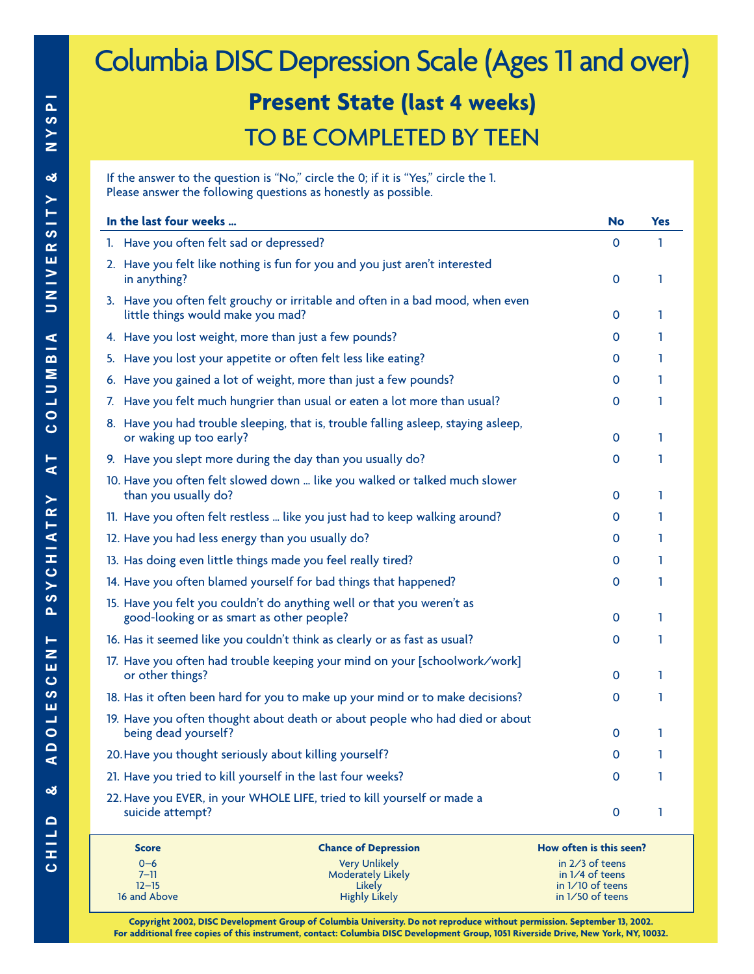## Columbia DISC Depression Scale (Ages 11 and over) **Present State (last 4 weeks)** TO BE COMPLETED BY TEEN

If the answer to the question is "No," circle the 0; if it is "Yes," circle the 1. Please answer the following questions as honestly as possible.

| In the last four weeks                                                                                              | <b>No</b>    | <b>Yes</b> |
|---------------------------------------------------------------------------------------------------------------------|--------------|------------|
| 1. Have you often felt sad or depressed?                                                                            | $\mathbf{O}$ | 1          |
| 2. Have you felt like nothing is fun for you and you just aren't interested<br>in anything?                         | $\mathbf{O}$ | 1          |
| 3. Have you often felt grouchy or irritable and often in a bad mood, when even<br>little things would make you mad? | $\mathbf{O}$ | 1          |
| 4. Have you lost weight, more than just a few pounds?                                                               | $\mathbf{0}$ | 1          |
| 5. Have you lost your appetite or often felt less like eating?                                                      | 0            | 1          |
| 6. Have you gained a lot of weight, more than just a few pounds?                                                    | 0            | 1          |
| 7. Have you felt much hungrier than usual or eaten a lot more than usual?                                           | $\mathbf{0}$ | 1          |
| 8. Have you had trouble sleeping, that is, trouble falling asleep, staying asleep,<br>or waking up too early?       | $\Omega$     | 1          |
| 9. Have you slept more during the day than you usually do?                                                          | 0            | 1          |
| 10. Have you often felt slowed down  like you walked or talked much slower<br>than you usually do?                  | $\Omega$     | 1          |
| 11. Have you often felt restless  like you just had to keep walking around?                                         | $\mathbf{0}$ | 1          |
| 12. Have you had less energy than you usually do?                                                                   | $\Omega$     | 1          |
| 13. Has doing even little things made you feel really tired?                                                        | $\mathbf{0}$ | 1          |
| 14. Have you often blamed yourself for bad things that happened?                                                    | $\mathbf{0}$ | 1          |
| 15. Have you felt you couldn't do anything well or that you weren't as<br>good-looking or as smart as other people? | $\mathbf{0}$ | 1          |
| 16. Has it seemed like you couldn't think as clearly or as fast as usual?                                           | $\mathbf{0}$ | 1          |
| 17. Have you often had trouble keeping your mind on your [schoolwork/work]<br>or other things?                      | $\mathbf{0}$ | 1          |
| 18. Has it often been hard for you to make up your mind or to make decisions?                                       | $\mathbf{0}$ | 1          |
| 19. Have you often thought about death or about people who had died or about<br>being dead yourself?                | $\mathbf{0}$ | 1          |
| 20. Have you thought seriously about killing yourself?                                                              | $\Omega$     | 1          |
| 21. Have you tried to kill yourself in the last four weeks?                                                         | 0            | 1          |
| 22. Have you EVER, in your WHOLE LIFE, tried to kill yourself or made a<br>suicide attempt?                         | 0            | 1          |

| <b>Score</b> | <b>Chance of Depression</b> | How often is this seen? |
|--------------|-----------------------------|-------------------------|
| $0 - 6$      | <b>Very Unlikely</b>        | in $2/3$ of teens       |
| $7 - 11$     | <b>Moderately Likely</b>    | in $1/4$ of teens       |
| $12 - 15$    | Likely                      | in $1/10$ of teens      |
| 16 and Above | <b>Highly Likely</b>        | in $1/50$ of teens      |

**Copyright 2002, DISC Development Group of Columbia University. Do not reproduce without permission. September 13, 2002. For additional free copies of this instrument, contact: Columbia DISC Development Group, 1051 Riverside Drive, New York, NY, 10032.**